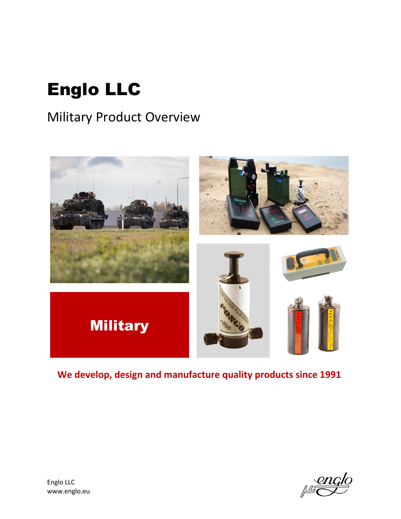# Englo LLC

# Military Product Overview



# **We develop, design and manufacture quality products since 1991**

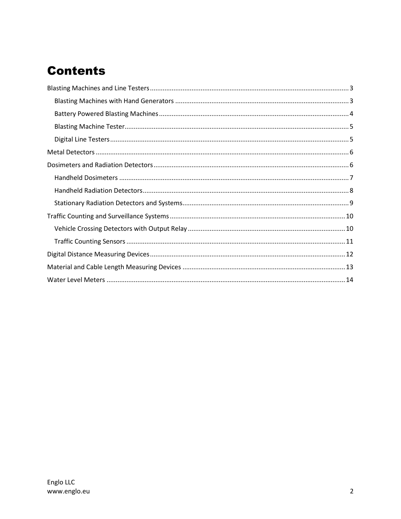# **Contents**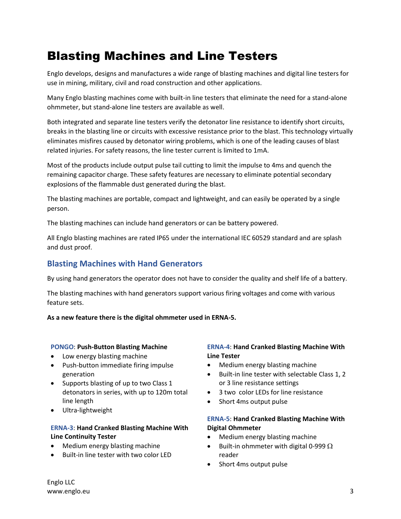# <span id="page-2-0"></span>Blasting Machines and Line Testers

Englo develops, designs and manufactures a wide range of blasting machines and digital line testers for use in mining, military, civil and road construction and other applications.

Many Englo blasting machines come with built-in line testers that eliminate the need for a stand-alone ohmmeter, but stand-alone line testers are available as well.

Both integrated and separate line testers verify the detonator line resistance to identify short circuits, breaks in the blasting line or circuits with excessive resistance prior to the blast. This technology virtually eliminates misfires caused by detonator wiring problems, which is one of the leading causes of blast related injuries. For safety reasons, the line tester current is limited to 1mA.

Most of the products include output pulse tail cutting to limit the impulse to 4ms and quench the remaining capacitor charge. These safety features are necessary to eliminate potential secondary explosions of the flammable dust generated during the blast.

The blasting machines are portable, compact and lightweight, and can easily be operated by a single person.

The blasting machines can include hand generators or can be battery powered.

All Englo blasting machines are rated IP65 under the international IEC 60529 standard and are splash and dust proof.

### <span id="page-2-1"></span>**Blasting Machines with Hand Generators**

By using hand generators the operator does not have to consider the quality and shelf life of a battery.

The blasting machines with hand generators support various firing voltages and come with various feature sets.

**As a new feature there is the digital ohmmeter used in ERNA-5.**

#### **PONGO**: **Push-Button Blasting Machine**

- Low energy blasting machine
- Push-button immediate firing impulse generation
- Supports blasting of up to two Class 1 detonators in series, with up to 120m total line length
- Ultra-lightweight

#### **ERNA-3**: **Hand Cranked Blasting Machine With Line Continuity Tester**

- Medium energy blasting machine
- Built-in line tester with two color LED

#### **ERNA-4**: **Hand Cranked Blasting Machine With Line Tester**

- Medium energy blasting machine
- Built-in line tester with selectable Class 1, 2 or 3 line resistance settings
- 3 two color LEDs for line resistance
- Short 4ms output pulse

#### **ERNA-5**: **Hand Cranked Blasting Machine With Digital Ohmmeter**

- Medium energy blasting machine
- Built-in ohmmeter with digital 0-999  $\Omega$ reader
- Short 4ms output pulse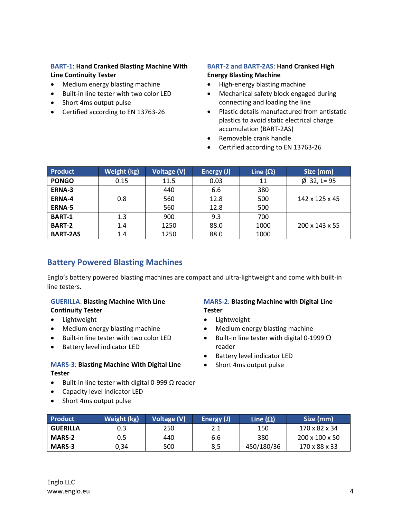#### **BART-1**: **Hand Cranked Blasting Machine With Line Continuity Tester**

- Medium energy blasting machine
- Built-in line tester with two color LED
- Short 4ms output pulse
- Certified according to EN 13763-26

#### **BART-2 and BART-2AS**: **Hand Cranked High Energy Blasting Machine**

- High-energy blasting machine
- Mechanical safety block engaged during connecting and loading the line
- Plastic details manufactured from antistatic plastics to avoid static electrical charge accumulation (BART-2AS)
- Removable crank handle
- Certified according to EN 13763-26

| <b>Product</b>  | Weight (kg) | Voltage (V) | Energy (J) | Line $(\Omega)$ | Size (mm)                  |
|-----------------|-------------|-------------|------------|-----------------|----------------------------|
| <b>PONGO</b>    | 0.15        | 11.5        | 0.03       | 11              | $\varnothing$ 32, L= 95    |
| ERNA-3          |             | 440         | 6.6        | 380             |                            |
| <b>ERNA-4</b>   | 0.8         | 560         | 12.8       | 500             | 142 x 125 x 45             |
| <b>ERNA-5</b>   |             | 560         | 12.8       | 500             |                            |
| <b>BART-1</b>   | 1.3         | 900         | 9.3        | 700             |                            |
| <b>BART-2</b>   | 1.4         | 1250        | 88.0       | 1000            | $200 \times 143 \times 55$ |
| <b>BART-2AS</b> | 1.4         | 1250        | 88.0       | 1000            |                            |

### <span id="page-3-0"></span>**Battery Powered Blasting Machines**

Englo's battery powered blasting machines are compact and ultra-lightweight and come with built-in line testers.

#### **GUERILLA**: **Blasting Machine With Line Continuity Tester**

- Lightweight
- Medium energy blasting machine
- Built-in line tester with two color LED
- Battery level indicator LED

#### **MARS-3**: **Blasting Machine With Digital Line Tester**

- $\bullet$  Built-in line tester with digital 0-999 Ω reader
- Capacity level indicator LED
- Short 4ms output pulse

#### **MARS-2**: **Blasting Machine with Digital Line Tester**

- Lightweight
- Medium energy blasting machine
- Built-in line tester with digital 0-1999  $\Omega$ reader
- Battery level indicator LED
- Short 4ms output pulse

| <b>Product</b>  | Weight (kg) | Voltage (V) | Energy (J) | Line $(\Omega)$ | Size (mm)                  |
|-----------------|-------------|-------------|------------|-----------------|----------------------------|
| <b>GUERILLA</b> | 0.3         | 250         | 2.1        | 150             | 170 x 82 x 34              |
| <b>MARS-2</b>   | 0.5         | 440         | 6.6        | 380             | $200 \times 100 \times 50$ |
| <b>MARS-3</b>   | 0,34        | 500         | 8,5        | 450/180/36      | 170 x 88 x 33              |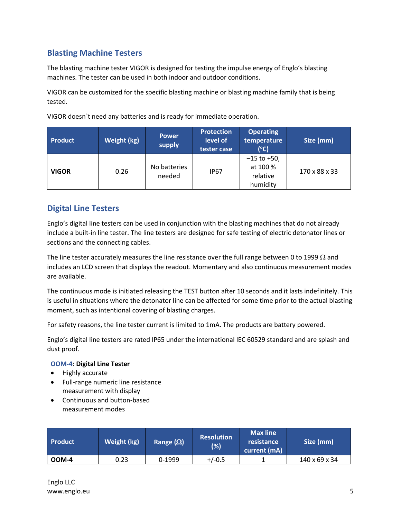### <span id="page-4-0"></span>**Blasting Machine Testers**

The blasting machine tester VIGOR is designed for testing the impulse energy of Englo's blasting machines. The tester can be used in both indoor and outdoor conditions.

VIGOR can be customized for the specific blasting machine or blasting machine family that is being tested.

VIGOR doesn`t need any batteries and is ready for immediate operation.

| <b>Product</b> | <b>Power</b><br>Weight (kg)<br>supply |                        | <b>Protection</b><br>level of<br>tester case | <b>Operating</b><br>temperature<br>$(^{\circ}C)$  | Size (mm)     |
|----------------|---------------------------------------|------------------------|----------------------------------------------|---------------------------------------------------|---------------|
| <b>VIGOR</b>   | 0.26                                  | No batteries<br>needed | <b>IP67</b>                                  | $-15$ to +50,<br>at 100 %<br>relative<br>humidity | 170 x 88 x 33 |

### <span id="page-4-1"></span>**Digital Line Testers**

Englo's digital line testers can be used in conjunction with the blasting machines that do not already include a built-in line tester. The line testers are designed for safe testing of electric detonator lines or sections and the connecting cables.

The line tester accurately measures the line resistance over the full range between 0 to 1999  $\Omega$  and includes an LCD screen that displays the readout. Momentary and also continuous measurement modes are available.

The continuous mode is initiated releasing the TEST button after 10 seconds and it lasts indefinitely. This is useful in situations where the detonator line can be affected for some time prior to the actual blasting moment, such as intentional covering of blasting charges.

For safety reasons, the line tester current is limited to 1mA. The products are battery powered.

Englo's digital line testers are rated IP65 under the international IEC 60529 standard and are splash and dust proof.

#### **OOM-4**: **Digital Line Tester**

- Highly accurate
- Full-range numeric line resistance measurement with display
- Continuous and button-based measurement modes

| <b>Product</b> | Weight (kg) | Range $(\Omega)$ | <b>Resolution</b><br>(%) | Max line<br>resistance<br>current (mA) | Size (mm)     |
|----------------|-------------|------------------|--------------------------|----------------------------------------|---------------|
| OOM-4          | 0.23        | 0-1999           | $+/-0.5$                 |                                        | 140 x 69 x 34 |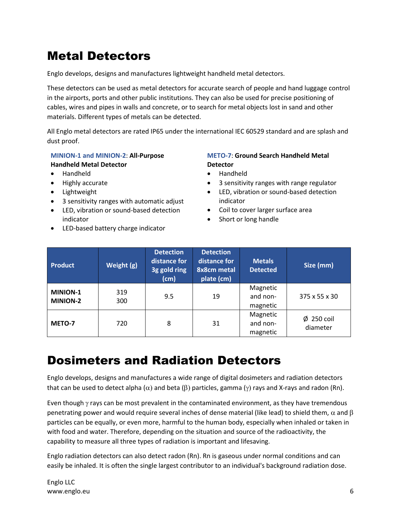# <span id="page-5-0"></span>Metal Detectors

Englo develops, designs and manufactures lightweight handheld metal detectors.

These detectors can be used as metal detectors for accurate search of people and hand luggage control in the airports, ports and other public institutions. They can also be used for precise positioning of cables, wires and pipes in walls and concrete, or to search for metal objects lost in sand and other materials. Different types of metals can be detected.

All Englo metal detectors are rated IP65 under the international IEC 60529 standard and are splash and dust proof.

#### **MINION-1 and MINION-2**: **All-Purpose Handheld Metal Detector**

- Handheld
- Highly accurate
- Lightweight
- 3 sensitivity ranges with automatic adjust
- LED, vibration or sound-based detection indicator
- LED-based battery charge indicator

#### **METO-7**: **Ground Search Handheld Metal Detector**

- Handheld
- 3 sensitivity ranges with range regulator
- LED, vibration or sound-based detection indicator
- Coil to cover larger surface area
- Short or long handle

| <b>Product</b>                     | Weight (g) | <b>Detection</b><br>distance for<br>3g gold ring<br>(cm) | <b>Detection</b><br>distance for<br>8x8cm metal<br>plate (cm) | <b>Metals</b><br><b>Detected</b> | Size (mm)                   |
|------------------------------------|------------|----------------------------------------------------------|---------------------------------------------------------------|----------------------------------|-----------------------------|
| <b>MINION-1</b><br><b>MINION-2</b> | 319<br>300 | 9.5                                                      | 19                                                            | Magnetic<br>and non-<br>magnetic | 375 x 55 x 30               |
| METO-7                             | 720        | 8                                                        | 31                                                            | Magnetic<br>and non-<br>magnetic | $\phi$ 250 coil<br>diameter |

# <span id="page-5-1"></span>Dosimeters and Radiation Detectors

Englo develops, designs and manufactures a wide range of digital dosimeters and radiation detectors that can be used to detect alpha ( $\alpha$ ) and beta ( $\beta$ ) particles, gamma ( $\gamma$ ) rays and X-rays and radon (Rn).

Even though  $\gamma$  rays can be most prevalent in the contaminated environment, as they have tremendous penetrating power and would require several inches of dense material (like lead) to shield them,  $\alpha$  and  $\beta$ particles can be equally, or even more, harmful to the human body, especially when inhaled or taken in with food and water. Therefore, depending on the situation and source of the radioactivity, the capability to measure all three types of radiation is important and lifesaving.

Englo radiation detectors can also detect radon (Rn). Rn is gaseous under normal conditions and can easily be inhaled. It is often the single largest contributor to an individual's background radiation dose.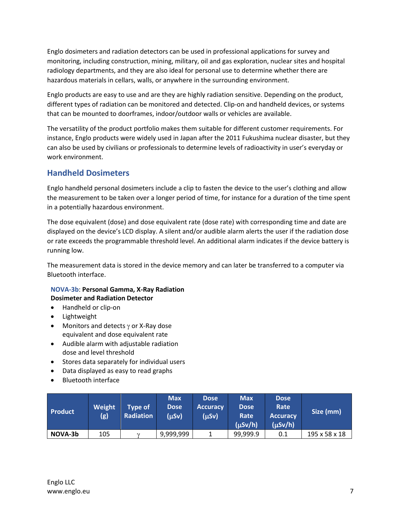Englo dosimeters and radiation detectors can be used in professional applications for survey and monitoring, including construction, mining, military, oil and gas exploration, nuclear sites and hospital radiology departments, and they are also ideal for personal use to determine whether there are hazardous materials in cellars, walls, or anywhere in the surrounding environment.

Englo products are easy to use and are they are highly radiation sensitive. Depending on the product, different types of radiation can be monitored and detected. Clip-on and handheld devices, or systems that can be mounted to doorframes, indoor/outdoor walls or vehicles are available.

The versatility of the product portfolio makes them suitable for different customer requirements. For instance, Englo products were widely used in Japan after the 2011 Fukushima nuclear disaster, but they can also be used by civilians or professionals to determine levels of radioactivity in user's everyday or work environment.

### <span id="page-6-0"></span>**Handheld Dosimeters**

Englo handheld personal dosimeters include a clip to fasten the device to the user's clothing and allow the measurement to be taken over a longer period of time, for instance for a duration of the time spent in a potentially hazardous environment.

The dose equivalent (dose) and dose equivalent rate (dose rate) with corresponding time and date are displayed on the device's LCD display. A silent and/or audible alarm alerts the user if the radiation dose or rate exceeds the programmable threshold level. An additional alarm indicates if the device battery is running low.

The measurement data is stored in the device memory and can later be transferred to a computer via Bluetooth interface.

#### **NOVA-3b**: **Personal Gamma, X-Ray Radiation Dosimeter and Radiation Detector**

- Handheld or clip-on
- Lightweight
- Monitors and detects  $\gamma$  or X-Ray dose equivalent and dose equivalent rate
- Audible alarm with adjustable radiation dose and level threshold
- Stores data separately for individual users
- Data displayed as easy to read graphs
- Bluetooth interface

| Product | Weight<br>(g) | Tvpe of<br><b>Radiation</b> | <b>Max</b><br><b>Dose</b><br>(µSv) | <b>Dose</b><br><b>Accuracy</b><br>(µSv) | <b>Max</b><br><b>Dose</b><br>Rate<br>$(\mu Sv/h)$ | <b>Dose</b><br>Rate<br><b>Accuracy</b><br>$(\mu Sv/h)$ | Size (mm)     |
|---------|---------------|-----------------------------|------------------------------------|-----------------------------------------|---------------------------------------------------|--------------------------------------------------------|---------------|
| NOVA-3b | 105           | $\gamma$                    | 9,999,999                          |                                         | 99,999.9                                          | 0.1                                                    | 195 x 58 x 18 |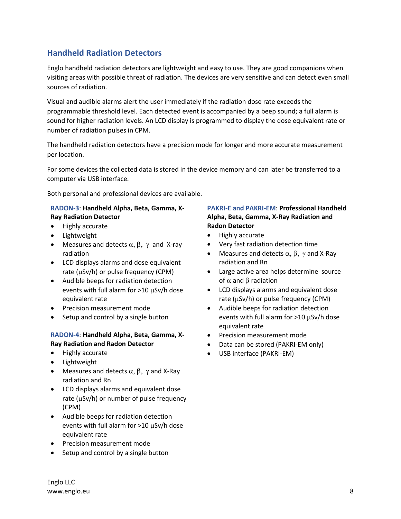### <span id="page-7-0"></span>**Handheld Radiation Detectors**

Englo handheld radiation detectors are lightweight and easy to use. They are good companions when visiting areas with possible threat of radiation. The devices are very sensitive and can detect even small sources of radiation.

Visual and audible alarms alert the user immediately if the radiation dose rate exceeds the programmable threshold level. Each detected event is accompanied by a beep sound; a full alarm is sound for higher radiation levels. An LCD display is programmed to display the dose equivalent rate or number of radiation pulses in CPM.

The handheld radiation detectors have a precision mode for longer and more accurate measurement per location.

For some devices the collected data is stored in the device memory and can later be transferred to a computer via USB interface.

Both personal and professional devices are available.

#### **RADON-3**: **Handheld Alpha, Beta, Gamma, X-Ray Radiation Detector**

- Highly accurate
- Lightweight
- Measures and detects  $\alpha$ ,  $\beta$ ,  $\gamma$  and X-ray radiation
- LCD displays alarms and dose equivalent rate ( $\mu$ Sv/h) or pulse frequency (CPM)
- Audible beeps for radiation detection events with full alarm for  $>10 \mu Sv/h$  dose equivalent rate
- Precision measurement mode
- Setup and control by a single button

#### **RADON-4**: **Handheld Alpha, Beta, Gamma, X-Ray Radiation and Radon Detector**

- Highly accurate
- Lightweight
- Measures and detects  $\alpha$ ,  $\beta$ ,  $\gamma$  and X-Ray radiation and Rn
- LCD displays alarms and equivalent dose rate ( $\mu$ Sv/h) or number of pulse frequency (CPM)
- Audible beeps for radiation detection events with full alarm for  $>10 \mu Sv/h$  dose equivalent rate
- **•** Precision measurement mode
- Setup and control by a single button

#### **PAKRI-E and PAKRI-EM**: **Professional Handheld Alpha, Beta, Gamma, X-Ray Radiation and Radon Detector**

- Highly accurate
- Very fast radiation detection time
- Measures and detects  $\alpha$ ,  $\beta$ ,  $\gamma$  and X-Ray radiation and Rn
- Large active area helps determine source of  $\alpha$  and  $\beta$  radiation
- LCD displays alarms and equivalent dose rate ( $\mu$ Sv/h) or pulse frequency (CPM)
- Audible beeps for radiation detection events with full alarm for  $>10 \mu$ Sv/h dose equivalent rate
- **•** Precision measurement mode
- Data can be stored (PAKRI-EM only)
- USB interface (PAKRI-EM)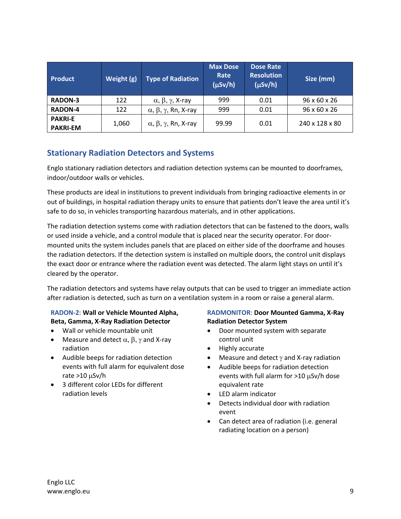| <b>Product</b>                    | Weight (g) | <b>Type of Radiation</b>                  | <b>Max Dose</b><br>Rate<br>$(\mu Sv/h)$ | Dose Rate<br><b>Resolution</b><br>$(\mu Sv/h)$ | Size (mm)                |
|-----------------------------------|------------|-------------------------------------------|-----------------------------------------|------------------------------------------------|--------------------------|
| <b>RADON-3</b>                    | 122        | $\alpha$ , β, γ, X-ray                    | 999                                     | 0.01                                           | $96 \times 60 \times 26$ |
| <b>RADON-4</b>                    | 122        | $\alpha, \beta, \gamma$ , Rn, X-ray       | 999                                     | 0.01                                           | 96 x 60 x 26             |
| <b>PAKRI-E</b><br><b>PAKRI-EM</b> | 1,060      | $\alpha$ , $\beta$ , $\gamma$ , Rn, X-ray | 99.99                                   | 0.01                                           | 240 x 128 x 80           |

### <span id="page-8-0"></span>**Stationary Radiation Detectors and Systems**

Englo stationary radiation detectors and radiation detection systems can be mounted to doorframes, indoor/outdoor walls or vehicles.

These products are ideal in institutions to prevent individuals from bringing radioactive elements in or out of buildings, in hospital radiation therapy units to ensure that patients don't leave the area until it's safe to do so, in vehicles transporting hazardous materials, and in other applications.

The radiation detection systems come with radiation detectors that can be fastened to the doors, walls or used inside a vehicle, and a control module that is placed near the security operator. For doormounted units the system includes panels that are placed on either side of the doorframe and houses the radiation detectors. If the detection system is installed on multiple doors, the control unit displays the exact door or entrance where the radiation event was detected. The alarm light stays on until it's cleared by the operator.

The radiation detectors and systems have relay outputs that can be used to trigger an immediate action after radiation is detected, such as turn on a ventilation system in a room or raise a general alarm.

#### **RADON-2**: **Wall or Vehicle Mounted Alpha, Beta, Gamma, X-Ray Radiation Detector**

- Wall or vehicle mountable unit
- Measure and detect  $\alpha$ ,  $\beta$ ,  $\gamma$  and X-ray radiation
- Audible beeps for radiation detection events with full alarm for equivalent dose rate  $>10 \mu Sv/h$
- 3 different color LEDs for different radiation levels

#### **RADMONITOR**: **Door Mounted Gamma, X-Ray Radiation Detector System**

- Door mounted system with separate control unit
- Highly accurate
- Measure and detect  $\gamma$  and X-ray radiation
- Audible beeps for radiation detection events with full alarm for  $>10$   $\mu$ Sv/h dose equivalent rate
- LED alarm indicator
- Detects individual door with radiation event
- Can detect area of radiation (i.e. general radiating location on a person)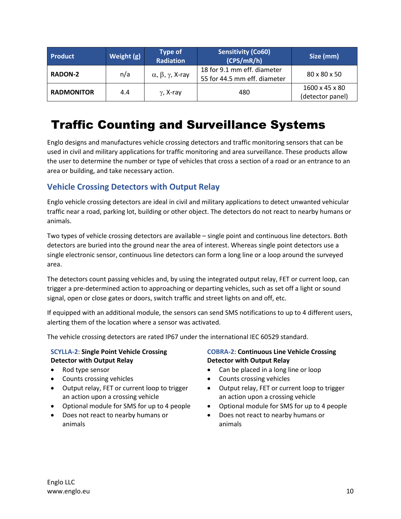| <b>Product</b>    | Weight (g) | <b>Type of</b><br><b>Radiation</b>    | <b>Sensitivity (Co60)</b><br>(CPS/mR/h)                     | Size (mm)                                      |
|-------------------|------------|---------------------------------------|-------------------------------------------------------------|------------------------------------------------|
| <b>RADON-2</b>    | n/a        | $\alpha$ , $\beta$ , $\gamma$ , X-ray | 18 for 9.1 mm eff. diameter<br>55 for 44.5 mm eff. diameter | 80 x 80 x 50                                   |
| <b>RADMONITOR</b> | 4.4        | $\gamma$ , X-ray                      | 480                                                         | $1600 \times 45 \times 80$<br>(detector panel) |

# <span id="page-9-0"></span>Traffic Counting and Surveillance Systems

Englo designs and manufactures vehicle crossing detectors and traffic monitoring sensors that can be used in civil and military applications for traffic monitoring and area surveillance. These products allow the user to determine the number or type of vehicles that cross a section of a road or an entrance to an area or building, and take necessary action.

### <span id="page-9-1"></span>**Vehicle Crossing Detectors with Output Relay**

Englo vehicle crossing detectors are ideal in civil and military applications to detect unwanted vehicular traffic near a road, parking lot, building or other object. The detectors do not react to nearby humans or animals.

Two types of vehicle crossing detectors are available – single point and continuous line detectors. Both detectors are buried into the ground near the area of interest. Whereas single point detectors use a single electronic sensor, continuous line detectors can form a long line or a loop around the surveyed area.

The detectors count passing vehicles and, by using the integrated output relay, FET or current loop, can trigger a pre-determined action to approaching or departing vehicles, such as set off a light or sound signal, open or close gates or doors, switch traffic and street lights on and off, etc.

If equipped with an additional module, the sensors can send SMS notifications to up to 4 different users, alerting them of the location where a sensor was activated.

The vehicle crossing detectors are rated IP67 under the international IEC 60529 standard.

#### **SCYLLA-2**: **Single Point Vehicle Crossing Detector with Output Relay**

- Rod type sensor
- Counts crossing vehicles
- Output relay, FET or current loop to trigger an action upon a crossing vehicle
- Optional module for SMS for up to 4 people
- Does not react to nearby humans or animals

#### **COBRA-2**: **Continuous Line Vehicle Crossing Detector with Output Relay**

- Can be placed in a long line or loop
- Counts crossing vehicles
- Output relay, FET or current loop to trigger an action upon a crossing vehicle
- Optional module for SMS for up to 4 people
- Does not react to nearby humans or animals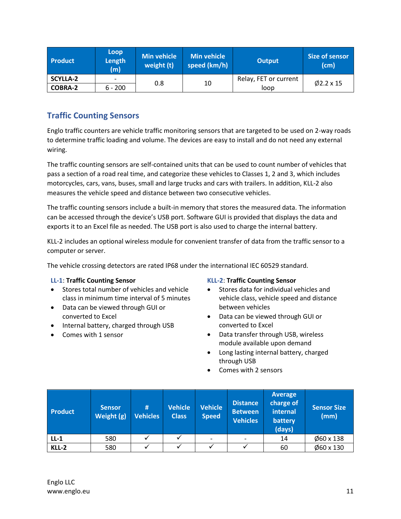| <b>Product</b>  | Loop<br>Length<br>(m)    | <b>Min vehicle</b><br>weight (t) | Min vehicle<br>speed (km/h) | <b>Output</b>         | Size of sensor<br>(cm) |
|-----------------|--------------------------|----------------------------------|-----------------------------|-----------------------|------------------------|
| <b>SCYLLA-2</b> | $\overline{\phantom{a}}$ | 0.8                              | 10                          | Relay, FET or current | $\emptyset$ 2.2 x 15   |
| <b>COBRA-2</b>  | $6 - 200$                |                                  |                             | loop                  |                        |

### <span id="page-10-0"></span>**Traffic Counting Sensors**

Englo traffic counters are vehicle traffic monitoring sensors that are targeted to be used on 2-way roads to determine traffic loading and volume. The devices are easy to install and do not need any external wiring.

The traffic counting sensors are self-contained units that can be used to count number of vehicles that pass a section of a road real time, and categorize these vehicles to Classes 1, 2 and 3, which includes motorcycles, cars, vans, buses, small and large trucks and cars with trailers. In addition, KLL-2 also measures the vehicle speed and distance between two consecutive vehicles.

The traffic counting sensors include a built-in memory that stores the measured data. The information can be accessed through the device's USB port. Software GUI is provided that displays the data and exports it to an Excel file as needed. The USB port is also used to charge the internal battery.

KLL-2 includes an optional wireless module for convenient transfer of data from the traffic sensor to a computer or server.

The vehicle crossing detectors are rated IP68 under the international IEC 60529 standard.

#### **LL-1**: **Traffic Counting Sensor**

- Stores total number of vehicles and vehicle class in minimum time interval of 5 minutes
- Data can be viewed through GUI or converted to Excel
- Internal battery, charged through USB
- Comes with 1 sensor

#### **KLL-2**: **Traffic Counting Sensor**

- Stores data for individual vehicles and vehicle class, vehicle speed and distance between vehicles
- Data can be viewed through GUI or converted to Excel
- Data transfer through USB, wireless module available upon demand
- Long lasting internal battery, charged through USB
- Comes with 2 sensors

| <b>Product</b> | <b>Sensor</b><br>Weight (g) | #<br><b>Vehicles</b> | <b>Vehicle</b><br><b>Class</b> | <b>Vehicle</b><br><b>Speed</b> | <b>Distance</b><br><b>Between</b><br><b>Vehicles</b> | Average<br>charge of<br>internal<br>battery<br>(days) | <b>Sensor Size</b><br>(mm) |
|----------------|-----------------------------|----------------------|--------------------------------|--------------------------------|------------------------------------------------------|-------------------------------------------------------|----------------------------|
| $LL-1$         | 580                         |                      |                                |                                |                                                      | 14                                                    | $\varphi$ 60 x 138         |
| KLL-2          | 580                         |                      |                                |                                |                                                      | 60                                                    | $\varphi$ 60 x 130         |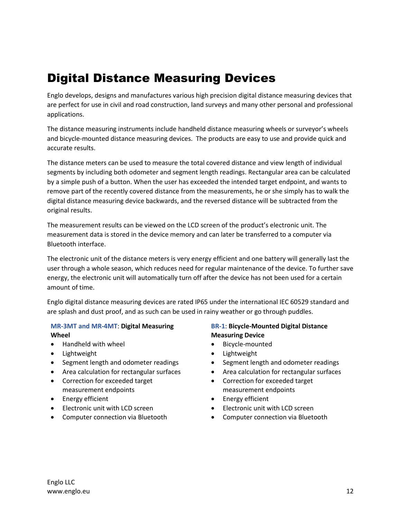# <span id="page-11-0"></span>Digital Distance Measuring Devices

Englo develops, designs and manufactures various high precision digital distance measuring devices that are perfect for use in civil and road construction, land surveys and many other personal and professional applications.

The distance measuring instruments include handheld distance measuring wheels or surveyor's wheels and bicycle-mounted distance measuring devices. The products are easy to use and provide quick and accurate results.

The distance meters can be used to measure the total covered distance and view length of individual segments by including both odometer and segment length readings. Rectangular area can be calculated by a simple push of a button. When the user has exceeded the intended target endpoint, and wants to remove part of the recently covered distance from the measurements, he or she simply has to walk the digital distance measuring device backwards, and the reversed distance will be subtracted from the original results.

The measurement results can be viewed on the LCD screen of the product's electronic unit. The measurement data is stored in the device memory and can later be transferred to a computer via Bluetooth interface.

The electronic unit of the distance meters is very energy efficient and one battery will generally last the user through a whole season, which reduces need for regular maintenance of the device. To further save energy, the electronic unit will automatically turn off after the device has not been used for a certain amount of time.

Englo digital distance measuring devices are rated IP65 under the international IEC 60529 standard and are splash and dust proof, and as such can be used in rainy weather or go through puddles.

#### **MR-3MT and MR-4MT**: **Digital Measuring Wheel**

- Handheld with wheel
- Lightweight
- Segment length and odometer readings
- Area calculation for rectangular surfaces
- Correction for exceeded target measurement endpoints
- Energy efficient
- Electronic unit with LCD screen
- Computer connection via Bluetooth

#### **BR-1**: **Bicycle-Mounted Digital Distance Measuring Device**

- Bicycle-mounted
- Lightweight
- Segment length and odometer readings
- Area calculation for rectangular surfaces
- Correction for exceeded target measurement endpoints
- Energy efficient
- Electronic unit with LCD screen
- Computer connection via Bluetooth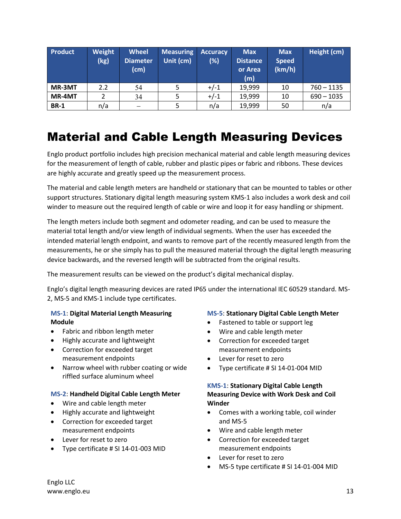| Product     | Weight<br>(kg) | <b>Wheel</b><br><b>Diameter</b><br>(cm) | <b>Measuring</b><br>Unit (cm) | <b>Accuracy</b><br>(%) | <b>Max</b><br><b>Distance</b><br>or Area<br>(m) | <b>Max</b><br><b>Speed</b><br>(km/h) | Height (cm)  |
|-------------|----------------|-----------------------------------------|-------------------------------|------------------------|-------------------------------------------------|--------------------------------------|--------------|
| MR-3MT      | 2.2            | 54                                      |                               | $+/-1$                 | 19,999                                          | 10                                   | $760 - 1135$ |
| MR-4MT      |                | 34                                      |                               | $+/-1$                 | 19,999                                          | 10                                   | $690 - 1035$ |
| <b>BR-1</b> | n/a            |                                         |                               | n/a                    | 19,999                                          | 50                                   | n/a          |

# <span id="page-12-0"></span>Material and Cable Length Measuring Devices

Englo product portfolio includes high precision mechanical material and cable length measuring devices for the measurement of length of cable, rubber and plastic pipes or fabric and ribbons. These devices are highly accurate and greatly speed up the measurement process.

The material and cable length meters are handheld or stationary that can be mounted to tables or other support structures. Stationary digital length measuring system KMS-1 also includes a work desk and coil winder to measure out the required length of cable or wire and loop it for easy handling or shipment.

The length meters include both segment and odometer reading, and can be used to measure the material total length and/or view length of individual segments. When the user has exceeded the intended material length endpoint, and wants to remove part of the recently measured length from the measurements, he or she simply has to pull the measured material through the digital length measuring device backwards, and the reversed length will be subtracted from the original results.

The measurement results can be viewed on the product's digital mechanical display.

Englo's digital length measuring devices are rated IP65 under the international IEC 60529 standard. MS-2, MS-5 and KMS-1 include type certificates.

#### **MS-1**: **Digital Material Length Measuring Module**

- Fabric and ribbon length meter
- Highly accurate and lightweight
- Correction for exceeded target measurement endpoints
- Narrow wheel with rubber coating or wide riffled surface aluminum wheel

#### **MS-2**: **Handheld Digital Cable Length Meter**

- Wire and cable length meter
- Highly accurate and lightweight
- Correction for exceeded target measurement endpoints
- Lever for reset to zero
- Type certificate # SI 14-01-003 MID

#### **MS-5**: **Stationary Digital Cable Length Meter**

- Fastened to table or support leg
- Wire and cable length meter
- Correction for exceeded target measurement endpoints
- Lever for reset to zero
- Type certificate # SI 14-01-004 MID

#### **KMS-1**: **Stationary Digital Cable Length Measuring Device with Work Desk and Coil Winder**

- Comes with a working table, coil winder and MS-5
- Wire and cable length meter
- Correction for exceeded target measurement endpoints
- Lever for reset to zero
- MS-5 type certificate # SI 14-01-004 MID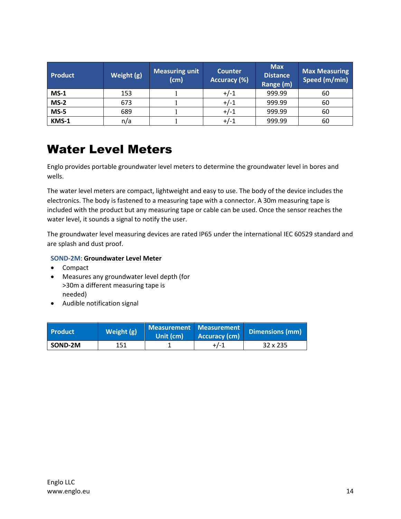| <b>Product</b> | Weight (g) | <b>Measuring unit</b><br>(cm) | <b>Counter</b><br>Accuracy (%) | <b>Max</b><br><b>Distance</b><br>Range (m) | <b>Max Measuring</b><br>Speed (m/min) |
|----------------|------------|-------------------------------|--------------------------------|--------------------------------------------|---------------------------------------|
| $MS-1$         | 153        |                               | $+/-1$                         | 999.99                                     | 60                                    |
| $MS-2$         | 673        |                               | $+/-1$                         | 999.99                                     | 60                                    |
| $MS-5$         | 689        |                               | $+/-1$                         | 999.99                                     | 60                                    |
| KMS-1          | n/a        |                               | $+/-1$                         | 999.99                                     | 60                                    |

# <span id="page-13-0"></span>Water Level Meters

Englo provides portable groundwater level meters to determine the groundwater level in bores and wells.

The water level meters are compact, lightweight and easy to use. The body of the device includes the electronics. The body is fastened to a measuring tape with a connector. A 30m measuring tape is included with the product but any measuring tape or cable can be used. Once the sensor reaches the water level, it sounds a signal to notify the user.

The groundwater level measuring devices are rated IP65 under the international IEC 60529 standard and are splash and dust proof.

#### **SOND-2M**: **Groundwater Level Meter**

- Compact
- Measures any groundwater level depth (for >30m a different measuring tape is needed)
- Audible notification signal

| <b>Product</b> | Weight (g) | Measurement Measurement<br>Unit (cm) | Accuracy (cm) | Dimensions (mm) |
|----------------|------------|--------------------------------------|---------------|-----------------|
| SOND-2M        | 151        |                                      | $+1-1$        | $32 \times 235$ |